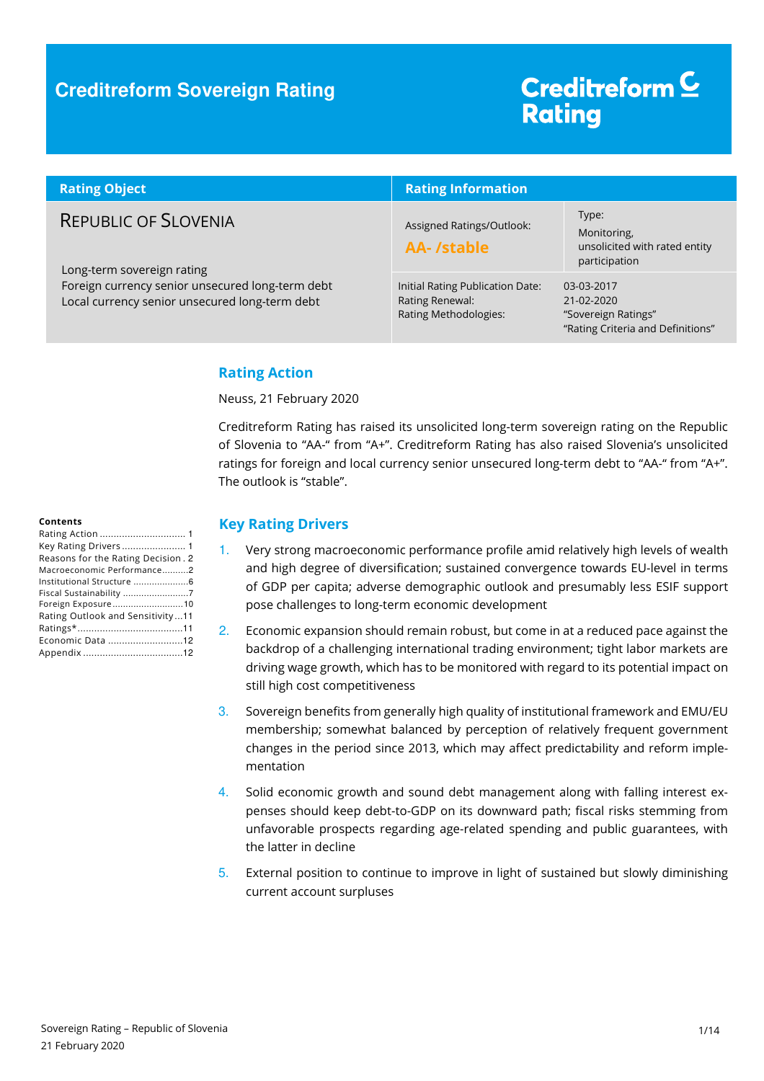### **Creditreform Sovereign Rating**

# Creditreform<sup>C</sup> **Rating**

| <b>Rating Object</b>                                                                                                                                            | <b>Rating Information</b>                                                    |                                                                                            |  |
|-----------------------------------------------------------------------------------------------------------------------------------------------------------------|------------------------------------------------------------------------------|--------------------------------------------------------------------------------------------|--|
| <b>REPUBLIC OF SLOVENIA</b><br>Long-term sovereign rating<br>Foreign currency senior unsecured long-term debt<br>Local currency senior unsecured long-term debt | Assigned Ratings/Outlook:<br><b>AA-/stable</b>                               | Type:<br>Monitoring,<br>unsolicited with rated entity<br>participation                     |  |
|                                                                                                                                                                 | Initial Rating Publication Date:<br>Rating Renewal:<br>Rating Methodologies: | 03-03-2017<br>$21 - 02 - 2020$<br>"Sovereign Ratings"<br>"Rating Criteria and Definitions" |  |

#### **Rating Action**

Neuss, 21 February 2020

Creditreform Rating has raised its unsolicited long-term sovereign rating on the Republic of Slovenia to "AA-" from "A+". Creditreform Rating has also raised Slovenia's unsolicited ratings for foreign and local currency senior unsecured long-term debt to "AA-" from "A+". The outlook is "stable".

#### **Contents**

#### **Key Rating Drivers**

- 1. Very strong macroeconomic performance profile amid relatively high levels of wealth and high degree of diversification; sustained convergence towards EU-level in terms of GDP per capita; adverse demographic outlook and presumably less ESIF support pose challenges to long-term economic development
- 2. Economic expansion should remain robust, but come in at a reduced pace against the backdrop of a challenging international trading environment; tight labor markets are driving wage growth, which has to be monitored with regard to its potential impact on still high cost competitiveness
- 3. Sovereign benefits from generally high quality of institutional framework and EMU/EU membership; somewhat balanced by perception of relatively frequent government changes in the period since 2013, which may affect predictability and reform implementation
- 4. Solid economic growth and sound debt management along with falling interest expenses should keep debt-to-GDP on its downward path; fiscal risks stemming from unfavorable prospects regarding age-related spending and public guarantees, with the latter in decline
- 5. External position to continue to improve in light of sustained but slowly diminishing current account surpluses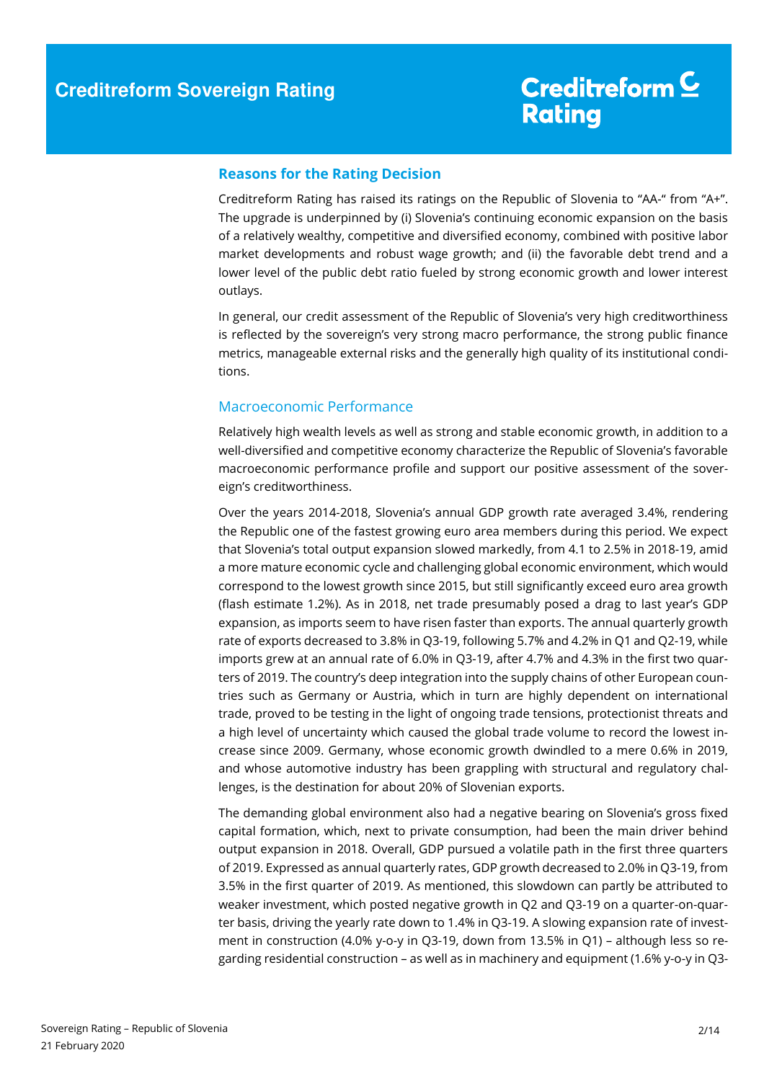#### **Reasons for the Rating Decision**

Creditreform Rating has raised its ratings on the Republic of Slovenia to "AA-" from "A+". The upgrade is underpinned by (i) Slovenia's continuing economic expansion on the basis of a relatively wealthy, competitive and diversified economy, combined with positive labor market developments and robust wage growth; and (ii) the favorable debt trend and a lower level of the public debt ratio fueled by strong economic growth and lower interest outlays.

In general, our credit assessment of the Republic of Slovenia's very high creditworthiness is reflected by the sovereign's very strong macro performance, the strong public finance metrics, manageable external risks and the generally high quality of its institutional conditions.

#### Macroeconomic Performance

Relatively high wealth levels as well as strong and stable economic growth, in addition to a well-diversified and competitive economy characterize the Republic of Slovenia's favorable macroeconomic performance profile and support our positive assessment of the sovereign's creditworthiness.

Over the years 2014-2018, Slovenia's annual GDP growth rate averaged 3.4%, rendering the Republic one of the fastest growing euro area members during this period. We expect that Slovenia's total output expansion slowed markedly, from 4.1 to 2.5% in 2018-19, amid a more mature economic cycle and challenging global economic environment, which would correspond to the lowest growth since 2015, but still significantly exceed euro area growth (flash estimate 1.2%). As in 2018, net trade presumably posed a drag to last year's GDP expansion, as imports seem to have risen faster than exports. The annual quarterly growth rate of exports decreased to 3.8% in Q3-19, following 5.7% and 4.2% in Q1 and Q2-19, while imports grew at an annual rate of 6.0% in Q3-19, after 4.7% and 4.3% in the first two quarters of 2019. The country's deep integration into the supply chains of other European countries such as Germany or Austria, which in turn are highly dependent on international trade, proved to be testing in the light of ongoing trade tensions, protectionist threats and a high level of uncertainty which caused the global trade volume to record the lowest increase since 2009. Germany, whose economic growth dwindled to a mere 0.6% in 2019, and whose automotive industry has been grappling with structural and regulatory challenges, is the destination for about 20% of Slovenian exports.

The demanding global environment also had a negative bearing on Slovenia's gross fixed capital formation, which, next to private consumption, had been the main driver behind output expansion in 2018. Overall, GDP pursued a volatile path in the first three quarters of 2019. Expressed as annual quarterly rates, GDP growth decreased to 2.0% in Q3-19, from 3.5% in the first quarter of 2019. As mentioned, this slowdown can partly be attributed to weaker investment, which posted negative growth in Q2 and Q3-19 on a quarter-on-quarter basis, driving the yearly rate down to 1.4% in Q3-19. A slowing expansion rate of investment in construction (4.0% y-o-y in Q3-19, down from 13.5% in Q1) – although less so regarding residential construction – as well as in machinery and equipment (1.6% y-o-y in Q3-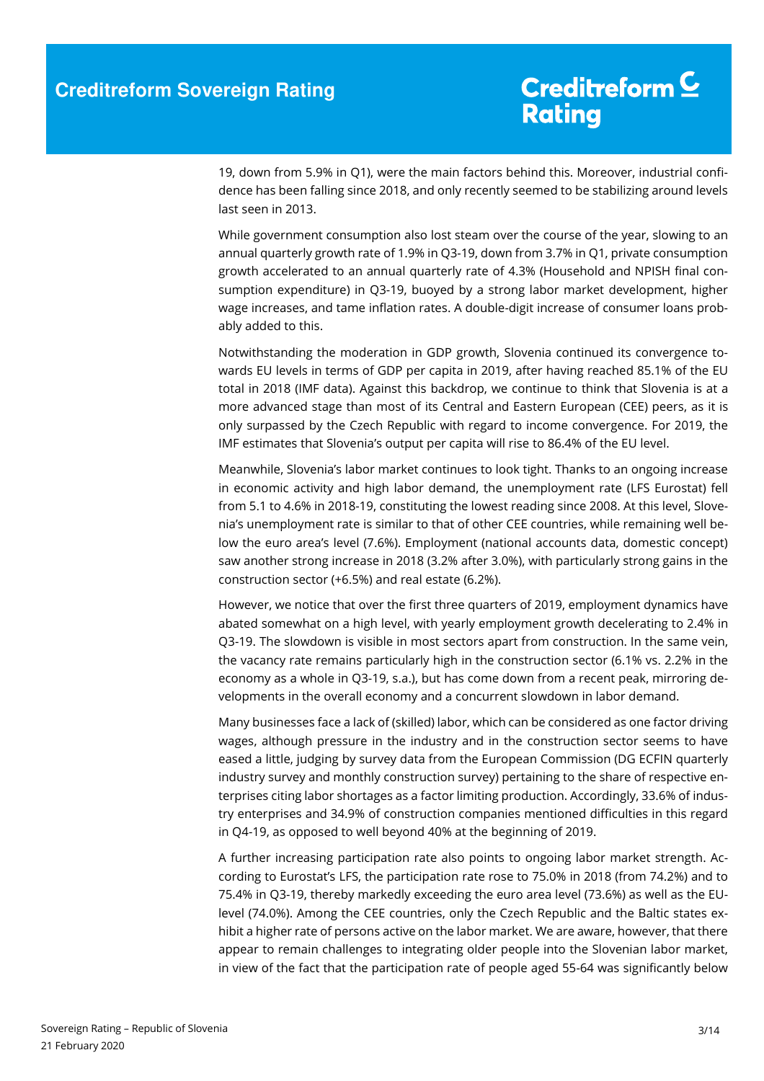19, down from 5.9% in Q1), were the main factors behind this. Moreover, industrial confidence has been falling since 2018, and only recently seemed to be stabilizing around levels last seen in 2013.

While government consumption also lost steam over the course of the year, slowing to an annual quarterly growth rate of 1.9% in Q3-19, down from 3.7% in Q1, private consumption growth accelerated to an annual quarterly rate of 4.3% (Household and NPISH final consumption expenditure) in Q3-19, buoyed by a strong labor market development, higher wage increases, and tame inflation rates. A double-digit increase of consumer loans probably added to this.

Notwithstanding the moderation in GDP growth, Slovenia continued its convergence towards EU levels in terms of GDP per capita in 2019, after having reached 85.1% of the EU total in 2018 (IMF data). Against this backdrop, we continue to think that Slovenia is at a more advanced stage than most of its Central and Eastern European (CEE) peers, as it is only surpassed by the Czech Republic with regard to income convergence. For 2019, the IMF estimates that Slovenia's output per capita will rise to 86.4% of the EU level.

Meanwhile, Slovenia's labor market continues to look tight. Thanks to an ongoing increase in economic activity and high labor demand, the unemployment rate (LFS Eurostat) fell from 5.1 to 4.6% in 2018-19, constituting the lowest reading since 2008. At this level, Slovenia's unemployment rate is similar to that of other CEE countries, while remaining well below the euro area's level (7.6%). Employment (national accounts data, domestic concept) saw another strong increase in 2018 (3.2% after 3.0%), with particularly strong gains in the construction sector (+6.5%) and real estate (6.2%).

However, we notice that over the first three quarters of 2019, employment dynamics have abated somewhat on a high level, with yearly employment growth decelerating to 2.4% in Q3-19. The slowdown is visible in most sectors apart from construction. In the same vein, the vacancy rate remains particularly high in the construction sector (6.1% vs. 2.2% in the economy as a whole in Q3-19, s.a.), but has come down from a recent peak, mirroring developments in the overall economy and a concurrent slowdown in labor demand.

Many businesses face a lack of (skilled) labor, which can be considered as one factor driving wages, although pressure in the industry and in the construction sector seems to have eased a little, judging by survey data from the European Commission (DG ECFIN quarterly industry survey and monthly construction survey) pertaining to the share of respective enterprises citing labor shortages as a factor limiting production. Accordingly, 33.6% of industry enterprises and 34.9% of construction companies mentioned difficulties in this regard in Q4-19, as opposed to well beyond 40% at the beginning of 2019.

A further increasing participation rate also points to ongoing labor market strength. According to Eurostat's LFS, the participation rate rose to 75.0% in 2018 (from 74.2%) and to 75.4% in Q3-19, thereby markedly exceeding the euro area level (73.6%) as well as the EUlevel (74.0%). Among the CEE countries, only the Czech Republic and the Baltic states exhibit a higher rate of persons active on the labor market. We are aware, however, that there appear to remain challenges to integrating older people into the Slovenian labor market, in view of the fact that the participation rate of people aged 55-64 was significantly below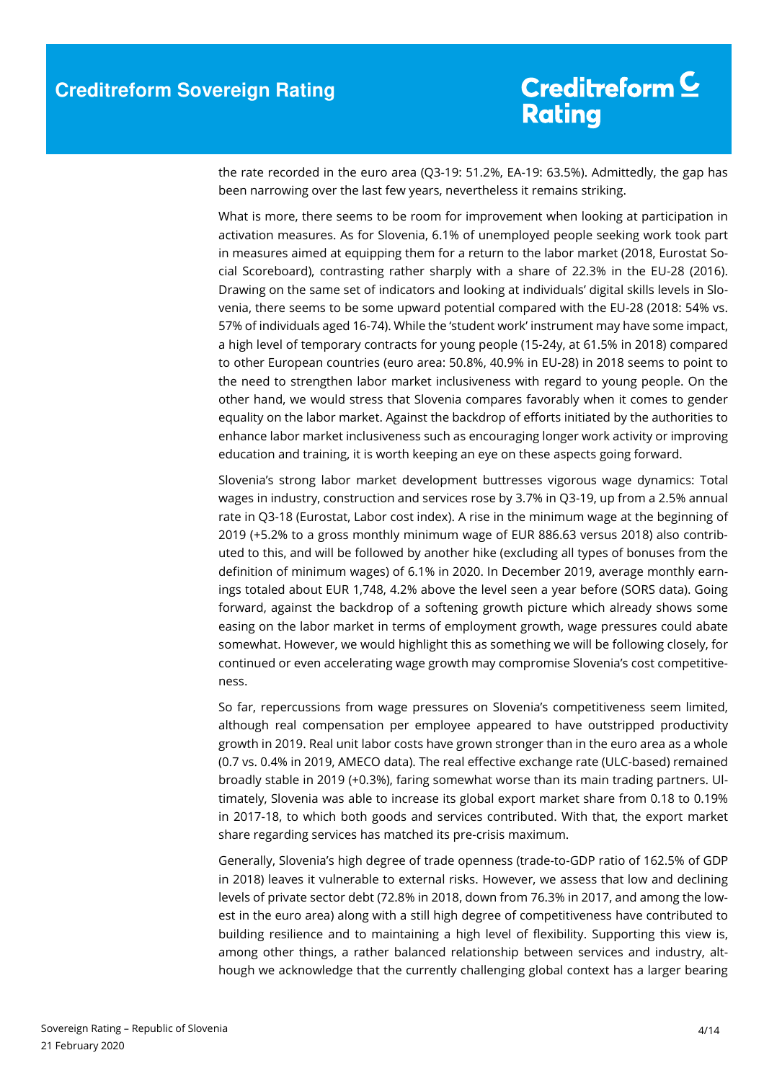the rate recorded in the euro area (Q3-19: 51.2%, EA-19: 63.5%). Admittedly, the gap has been narrowing over the last few years, nevertheless it remains striking.

What is more, there seems to be room for improvement when looking at participation in activation measures. As for Slovenia, 6.1% of unemployed people seeking work took part in measures aimed at equipping them for a return to the labor market (2018, Eurostat Social Scoreboard), contrasting rather sharply with a share of 22.3% in the EU-28 (2016). Drawing on the same set of indicators and looking at individuals' digital skills levels in Slovenia, there seems to be some upward potential compared with the EU-28 (2018: 54% vs. 57% of individuals aged 16-74). While the 'student work' instrument may have some impact, a high level of temporary contracts for young people (15-24y, at 61.5% in 2018) compared to other European countries (euro area: 50.8%, 40.9% in EU-28) in 2018 seems to point to the need to strengthen labor market inclusiveness with regard to young people. On the other hand, we would stress that Slovenia compares favorably when it comes to gender equality on the labor market. Against the backdrop of efforts initiated by the authorities to enhance labor market inclusiveness such as encouraging longer work activity or improving education and training, it is worth keeping an eye on these aspects going forward.

Slovenia's strong labor market development buttresses vigorous wage dynamics: Total wages in industry, construction and services rose by 3.7% in Q3-19, up from a 2.5% annual rate in Q3-18 (Eurostat, Labor cost index). A rise in the minimum wage at the beginning of 2019 (+5.2% to a gross monthly minimum wage of EUR 886.63 versus 2018) also contributed to this, and will be followed by another hike (excluding all types of bonuses from the definition of minimum wages) of 6.1% in 2020. In December 2019, average monthly earnings totaled about EUR 1,748, 4.2% above the level seen a year before (SORS data). Going forward, against the backdrop of a softening growth picture which already shows some easing on the labor market in terms of employment growth, wage pressures could abate somewhat. However, we would highlight this as something we will be following closely, for continued or even accelerating wage growth may compromise Slovenia's cost competitiveness.

So far, repercussions from wage pressures on Slovenia's competitiveness seem limited, although real compensation per employee appeared to have outstripped productivity growth in 2019. Real unit labor costs have grown stronger than in the euro area as a whole (0.7 vs. 0.4% in 2019, AMECO data). The real effective exchange rate (ULC-based) remained broadly stable in 2019 (+0.3%), faring somewhat worse than its main trading partners. Ultimately, Slovenia was able to increase its global export market share from 0.18 to 0.19% in 2017-18, to which both goods and services contributed. With that, the export market share regarding services has matched its pre-crisis maximum.

Generally, Slovenia's high degree of trade openness (trade-to-GDP ratio of 162.5% of GDP in 2018) leaves it vulnerable to external risks. However, we assess that low and declining levels of private sector debt (72.8% in 2018, down from 76.3% in 2017, and among the lowest in the euro area) along with a still high degree of competitiveness have contributed to building resilience and to maintaining a high level of flexibility. Supporting this view is, among other things, a rather balanced relationship between services and industry, although we acknowledge that the currently challenging global context has a larger bearing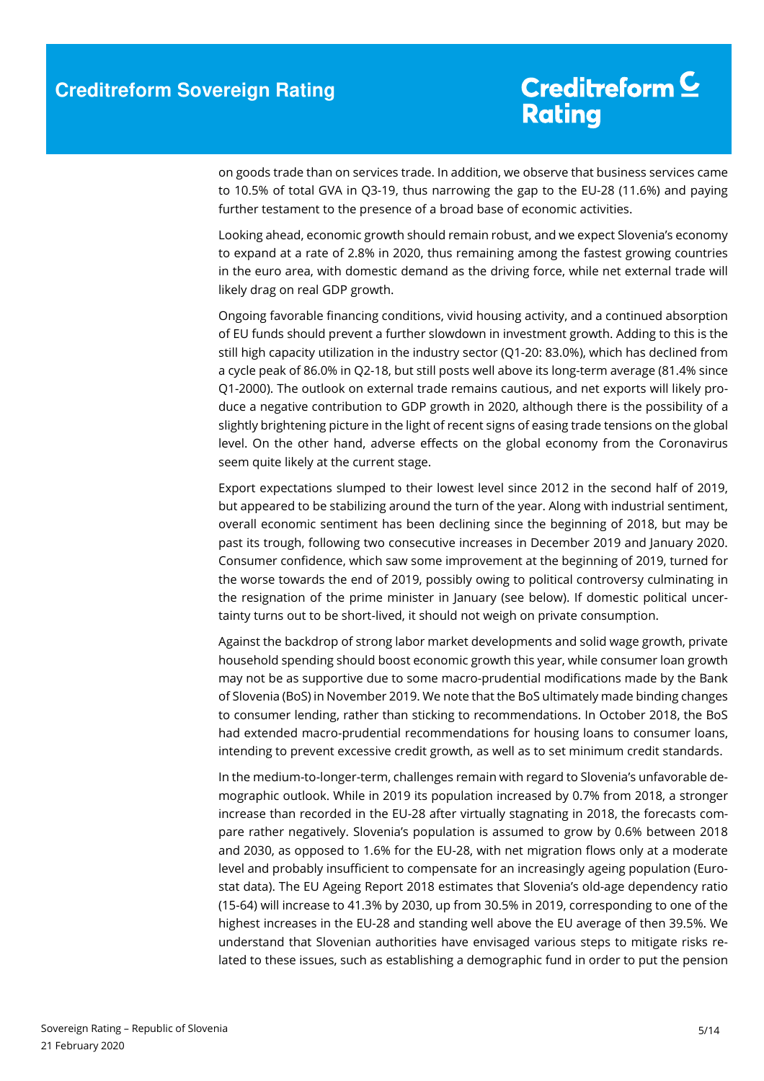on goods trade than on services trade. In addition, we observe that business services came to 10.5% of total GVA in Q3-19, thus narrowing the gap to the EU-28 (11.6%) and paying further testament to the presence of a broad base of economic activities.

Looking ahead, economic growth should remain robust, and we expect Slovenia's economy to expand at a rate of 2.8% in 2020, thus remaining among the fastest growing countries in the euro area, with domestic demand as the driving force, while net external trade will likely drag on real GDP growth.

Ongoing favorable financing conditions, vivid housing activity, and a continued absorption of EU funds should prevent a further slowdown in investment growth. Adding to this is the still high capacity utilization in the industry sector (Q1-20: 83.0%), which has declined from a cycle peak of 86.0% in Q2-18, but still posts well above its long-term average (81.4% since Q1-2000). The outlook on external trade remains cautious, and net exports will likely produce a negative contribution to GDP growth in 2020, although there is the possibility of a slightly brightening picture in the light of recent signs of easing trade tensions on the global level. On the other hand, adverse effects on the global economy from the Coronavirus seem quite likely at the current stage.

Export expectations slumped to their lowest level since 2012 in the second half of 2019, but appeared to be stabilizing around the turn of the year. Along with industrial sentiment, overall economic sentiment has been declining since the beginning of 2018, but may be past its trough, following two consecutive increases in December 2019 and January 2020. Consumer confidence, which saw some improvement at the beginning of 2019, turned for the worse towards the end of 2019, possibly owing to political controversy culminating in the resignation of the prime minister in January (see below). If domestic political uncertainty turns out to be short-lived, it should not weigh on private consumption.

Against the backdrop of strong labor market developments and solid wage growth, private household spending should boost economic growth this year, while consumer loan growth may not be as supportive due to some macro-prudential modifications made by the Bank of Slovenia (BoS) in November 2019. We note that the BoS ultimately made binding changes to consumer lending, rather than sticking to recommendations. In October 2018, the BoS had extended macro-prudential recommendations for housing loans to consumer loans, intending to prevent excessive credit growth, as well as to set minimum credit standards.

In the medium-to-longer-term, challenges remain with regard to Slovenia's unfavorable demographic outlook. While in 2019 its population increased by 0.7% from 2018, a stronger increase than recorded in the EU-28 after virtually stagnating in 2018, the forecasts compare rather negatively. Slovenia's population is assumed to grow by 0.6% between 2018 and 2030, as opposed to 1.6% for the EU-28, with net migration flows only at a moderate level and probably insufficient to compensate for an increasingly ageing population (Eurostat data). The EU Ageing Report 2018 estimates that Slovenia's old-age dependency ratio (15-64) will increase to 41.3% by 2030, up from 30.5% in 2019, corresponding to one of the highest increases in the EU-28 and standing well above the EU average of then 39.5%. We understand that Slovenian authorities have envisaged various steps to mitigate risks related to these issues, such as establishing a demographic fund in order to put the pension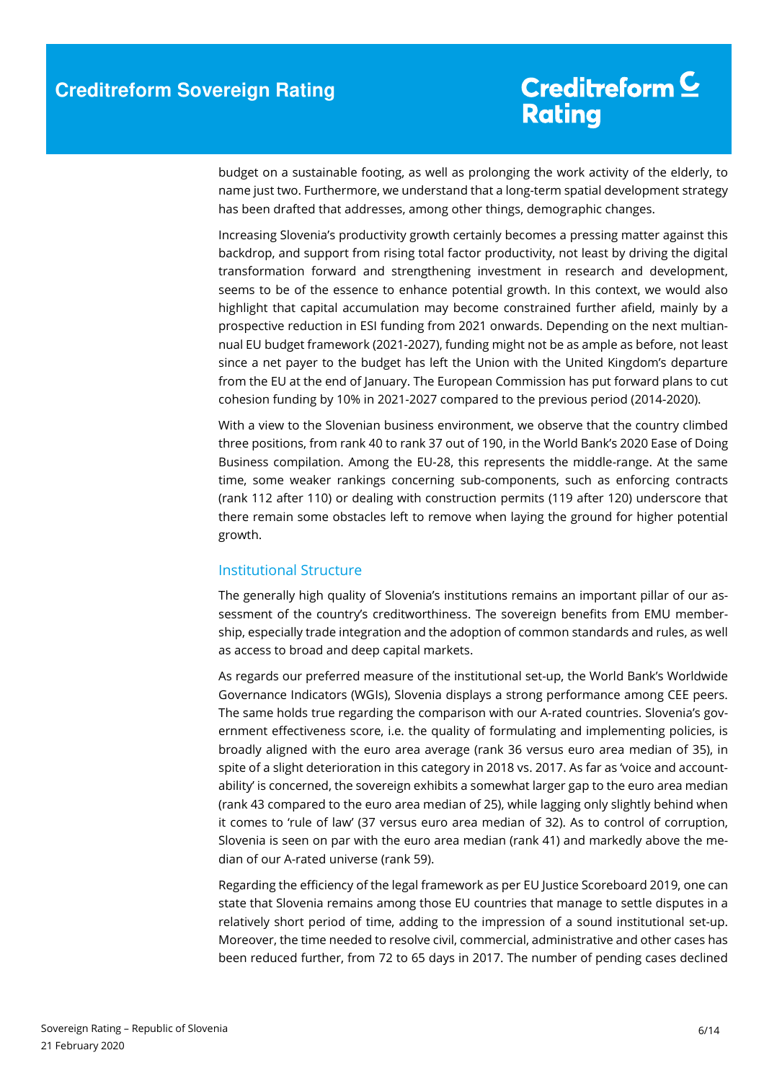budget on a sustainable footing, as well as prolonging the work activity of the elderly, to name just two. Furthermore, we understand that a long-term spatial development strategy has been drafted that addresses, among other things, demographic changes.

Increasing Slovenia's productivity growth certainly becomes a pressing matter against this backdrop, and support from rising total factor productivity, not least by driving the digital transformation forward and strengthening investment in research and development, seems to be of the essence to enhance potential growth. In this context, we would also highlight that capital accumulation may become constrained further afield, mainly by a prospective reduction in ESI funding from 2021 onwards. Depending on the next multiannual EU budget framework (2021-2027), funding might not be as ample as before, not least since a net payer to the budget has left the Union with the United Kingdom's departure from the EU at the end of January. The European Commission has put forward plans to cut cohesion funding by 10% in 2021-2027 compared to the previous period (2014-2020).

With a view to the Slovenian business environment, we observe that the country climbed three positions, from rank 40 to rank 37 out of 190, in the World Bank's 2020 Ease of Doing Business compilation. Among the EU-28, this represents the middle-range. At the same time, some weaker rankings concerning sub-components, such as enforcing contracts (rank 112 after 110) or dealing with construction permits (119 after 120) underscore that there remain some obstacles left to remove when laying the ground for higher potential growth.

#### Institutional Structure

The generally high quality of Slovenia's institutions remains an important pillar of our assessment of the country's creditworthiness. The sovereign benefits from EMU membership, especially trade integration and the adoption of common standards and rules, as well as access to broad and deep capital markets.

As regards our preferred measure of the institutional set-up, the World Bank's Worldwide Governance Indicators (WGIs), Slovenia displays a strong performance among CEE peers. The same holds true regarding the comparison with our A-rated countries. Slovenia's government effectiveness score, i.e. the quality of formulating and implementing policies, is broadly aligned with the euro area average (rank 36 versus euro area median of 35), in spite of a slight deterioration in this category in 2018 vs. 2017. As far as 'voice and accountability' is concerned, the sovereign exhibits a somewhat larger gap to the euro area median (rank 43 compared to the euro area median of 25), while lagging only slightly behind when it comes to 'rule of law' (37 versus euro area median of 32). As to control of corruption, Slovenia is seen on par with the euro area median (rank 41) and markedly above the median of our A-rated universe (rank 59).

Regarding the efficiency of the legal framework as per EU Justice Scoreboard 2019, one can state that Slovenia remains among those EU countries that manage to settle disputes in a relatively short period of time, adding to the impression of a sound institutional set-up. Moreover, the time needed to resolve civil, commercial, administrative and other cases has been reduced further, from 72 to 65 days in 2017. The number of pending cases declined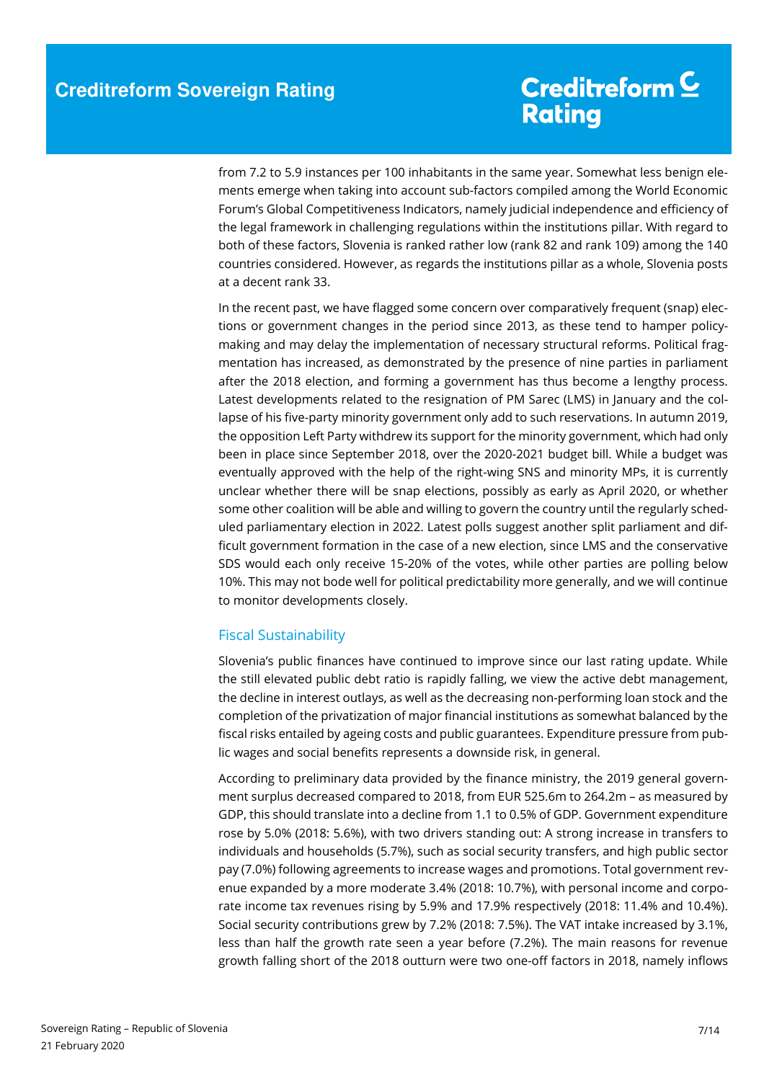from 7.2 to 5.9 instances per 100 inhabitants in the same year. Somewhat less benign elements emerge when taking into account sub-factors compiled among the World Economic Forum's Global Competitiveness Indicators, namely judicial independence and efficiency of the legal framework in challenging regulations within the institutions pillar. With regard to both of these factors, Slovenia is ranked rather low (rank 82 and rank 109) among the 140 countries considered. However, as regards the institutions pillar as a whole, Slovenia posts at a decent rank 33.

In the recent past, we have flagged some concern over comparatively frequent (snap) elections or government changes in the period since 2013, as these tend to hamper policymaking and may delay the implementation of necessary structural reforms. Political fragmentation has increased, as demonstrated by the presence of nine parties in parliament after the 2018 election, and forming a government has thus become a lengthy process. Latest developments related to the resignation of PM Sarec (LMS) in January and the collapse of his five-party minority government only add to such reservations. In autumn 2019, the opposition Left Party withdrew its support for the minority government, which had only been in place since September 2018, over the 2020-2021 budget bill. While a budget was eventually approved with the help of the right-wing SNS and minority MPs, it is currently unclear whether there will be snap elections, possibly as early as April 2020, or whether some other coalition will be able and willing to govern the country until the regularly scheduled parliamentary election in 2022. Latest polls suggest another split parliament and difficult government formation in the case of a new election, since LMS and the conservative SDS would each only receive 15-20% of the votes, while other parties are polling below 10%. This may not bode well for political predictability more generally, and we will continue to monitor developments closely.

### Fiscal Sustainability

Slovenia's public finances have continued to improve since our last rating update. While the still elevated public debt ratio is rapidly falling, we view the active debt management, the decline in interest outlays, as well as the decreasing non-performing loan stock and the completion of the privatization of major financial institutions as somewhat balanced by the fiscal risks entailed by ageing costs and public guarantees. Expenditure pressure from public wages and social benefits represents a downside risk, in general.

According to preliminary data provided by the finance ministry, the 2019 general government surplus decreased compared to 2018, from EUR 525.6m to 264.2m – as measured by GDP, this should translate into a decline from 1.1 to 0.5% of GDP. Government expenditure rose by 5.0% (2018: 5.6%), with two drivers standing out: A strong increase in transfers to individuals and households (5.7%), such as social security transfers, and high public sector pay (7.0%) following agreements to increase wages and promotions. Total government revenue expanded by a more moderate 3.4% (2018: 10.7%), with personal income and corporate income tax revenues rising by 5.9% and 17.9% respectively (2018: 11.4% and 10.4%). Social security contributions grew by 7.2% (2018: 7.5%). The VAT intake increased by 3.1%, less than half the growth rate seen a year before (7.2%). The main reasons for revenue growth falling short of the 2018 outturn were two one-off factors in 2018, namely inflows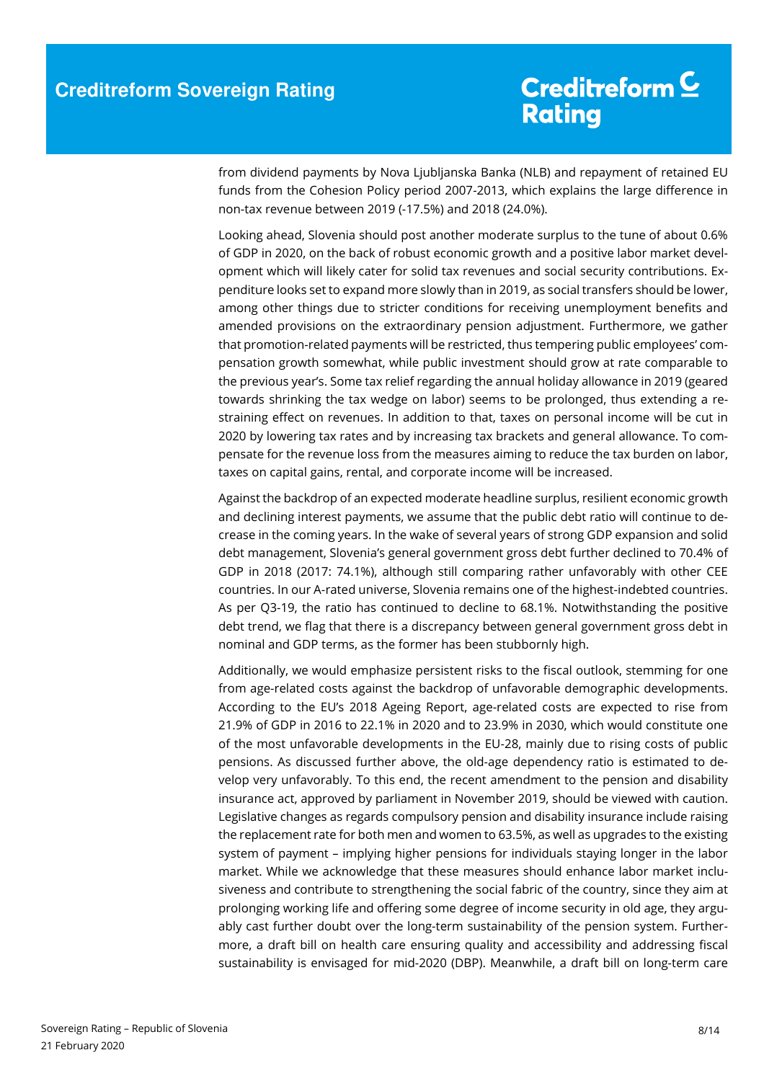from dividend payments by Nova Ljubljanska Banka (NLB) and repayment of retained EU funds from the Cohesion Policy period 2007-2013, which explains the large difference in non-tax revenue between 2019 (-17.5%) and 2018 (24.0%).

Looking ahead, Slovenia should post another moderate surplus to the tune of about 0.6% of GDP in 2020, on the back of robust economic growth and a positive labor market development which will likely cater for solid tax revenues and social security contributions. Expenditure looks set to expand more slowly than in 2019, as social transfers should be lower, among other things due to stricter conditions for receiving unemployment benefits and amended provisions on the extraordinary pension adjustment. Furthermore, we gather that promotion-related payments will be restricted, thus tempering public employees' compensation growth somewhat, while public investment should grow at rate comparable to the previous year's. Some tax relief regarding the annual holiday allowance in 2019 (geared towards shrinking the tax wedge on labor) seems to be prolonged, thus extending a restraining effect on revenues. In addition to that, taxes on personal income will be cut in 2020 by lowering tax rates and by increasing tax brackets and general allowance. To compensate for the revenue loss from the measures aiming to reduce the tax burden on labor, taxes on capital gains, rental, and corporate income will be increased.

Against the backdrop of an expected moderate headline surplus, resilient economic growth and declining interest payments, we assume that the public debt ratio will continue to decrease in the coming years. In the wake of several years of strong GDP expansion and solid debt management, Slovenia's general government gross debt further declined to 70.4% of GDP in 2018 (2017: 74.1%), although still comparing rather unfavorably with other CEE countries. In our A-rated universe, Slovenia remains one of the highest-indebted countries. As per Q3-19, the ratio has continued to decline to 68.1%. Notwithstanding the positive debt trend, we flag that there is a discrepancy between general government gross debt in nominal and GDP terms, as the former has been stubbornly high.

Additionally, we would emphasize persistent risks to the fiscal outlook, stemming for one from age-related costs against the backdrop of unfavorable demographic developments. According to the EU's 2018 Ageing Report, age-related costs are expected to rise from 21.9% of GDP in 2016 to 22.1% in 2020 and to 23.9% in 2030, which would constitute one of the most unfavorable developments in the EU-28, mainly due to rising costs of public pensions. As discussed further above, the old-age dependency ratio is estimated to develop very unfavorably. To this end, the recent amendment to the pension and disability insurance act, approved by parliament in November 2019, should be viewed with caution. Legislative changes as regards compulsory pension and disability insurance include raising the replacement rate for both men and women to 63.5%, as well as upgrades to the existing system of payment – implying higher pensions for individuals staying longer in the labor market. While we acknowledge that these measures should enhance labor market inclusiveness and contribute to strengthening the social fabric of the country, since they aim at prolonging working life and offering some degree of income security in old age, they arguably cast further doubt over the long-term sustainability of the pension system. Furthermore, a draft bill on health care ensuring quality and accessibility and addressing fiscal sustainability is envisaged for mid-2020 (DBP). Meanwhile, a draft bill on long-term care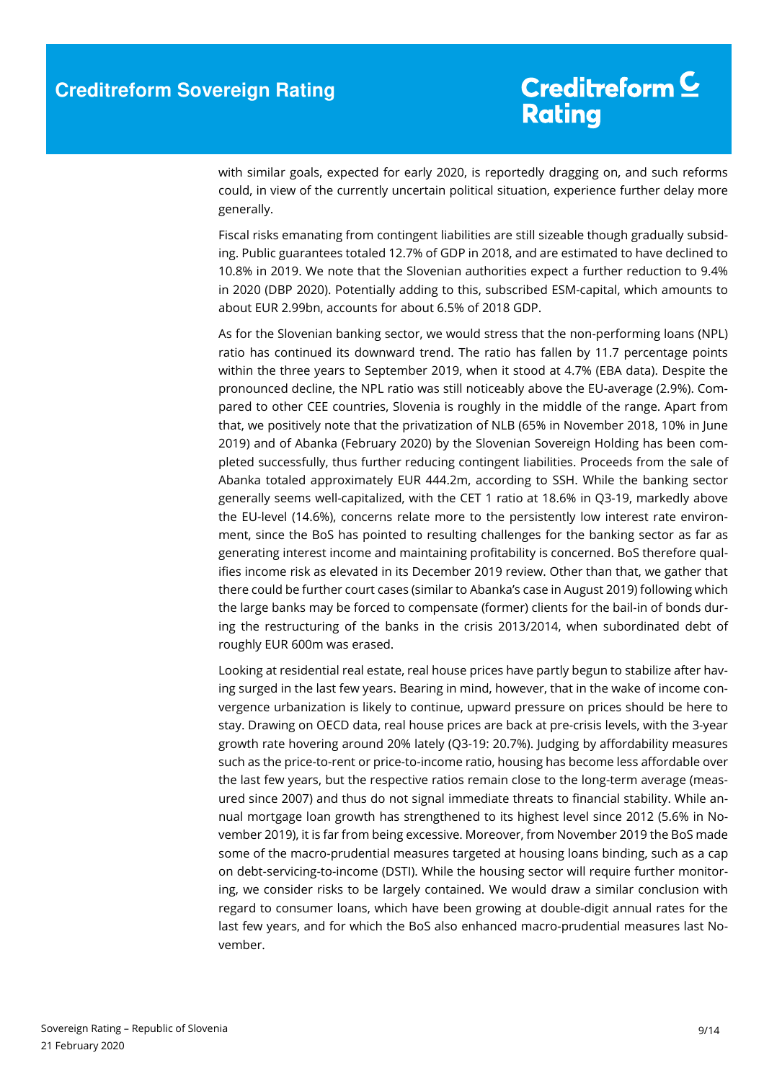with similar goals, expected for early 2020, is reportedly dragging on, and such reforms could, in view of the currently uncertain political situation, experience further delay more generally.

Fiscal risks emanating from contingent liabilities are still sizeable though gradually subsiding. Public guarantees totaled 12.7% of GDP in 2018, and are estimated to have declined to 10.8% in 2019. We note that the Slovenian authorities expect a further reduction to 9.4% in 2020 (DBP 2020). Potentially adding to this, subscribed ESM-capital, which amounts to about EUR 2.99bn, accounts for about 6.5% of 2018 GDP.

As for the Slovenian banking sector, we would stress that the non-performing loans (NPL) ratio has continued its downward trend. The ratio has fallen by 11.7 percentage points within the three years to September 2019, when it stood at 4.7% (EBA data). Despite the pronounced decline, the NPL ratio was still noticeably above the EU-average (2.9%). Compared to other CEE countries, Slovenia is roughly in the middle of the range. Apart from that, we positively note that the privatization of NLB (65% in November 2018, 10% in June 2019) and of Abanka (February 2020) by the Slovenian Sovereign Holding has been completed successfully, thus further reducing contingent liabilities. Proceeds from the sale of Abanka totaled approximately EUR 444.2m, according to SSH. While the banking sector generally seems well-capitalized, with the CET 1 ratio at 18.6% in Q3-19, markedly above the EU-level (14.6%), concerns relate more to the persistently low interest rate environment, since the BoS has pointed to resulting challenges for the banking sector as far as generating interest income and maintaining profitability is concerned. BoS therefore qualifies income risk as elevated in its December 2019 review. Other than that, we gather that there could be further court cases (similar to Abanka's case in August 2019) following which the large banks may be forced to compensate (former) clients for the bail-in of bonds during the restructuring of the banks in the crisis 2013/2014, when subordinated debt of roughly EUR 600m was erased.

Looking at residential real estate, real house prices have partly begun to stabilize after having surged in the last few years. Bearing in mind, however, that in the wake of income convergence urbanization is likely to continue, upward pressure on prices should be here to stay. Drawing on OECD data, real house prices are back at pre-crisis levels, with the 3-year growth rate hovering around 20% lately (Q3-19: 20.7%). Judging by affordability measures such as the price-to-rent or price-to-income ratio, housing has become less affordable over the last few years, but the respective ratios remain close to the long-term average (measured since 2007) and thus do not signal immediate threats to financial stability. While annual mortgage loan growth has strengthened to its highest level since 2012 (5.6% in November 2019), it is far from being excessive. Moreover, from November 2019 the BoS made some of the macro-prudential measures targeted at housing loans binding, such as a cap on debt-servicing-to-income (DSTI). While the housing sector will require further monitoring, we consider risks to be largely contained. We would draw a similar conclusion with regard to consumer loans, which have been growing at double-digit annual rates for the last few years, and for which the BoS also enhanced macro-prudential measures last November.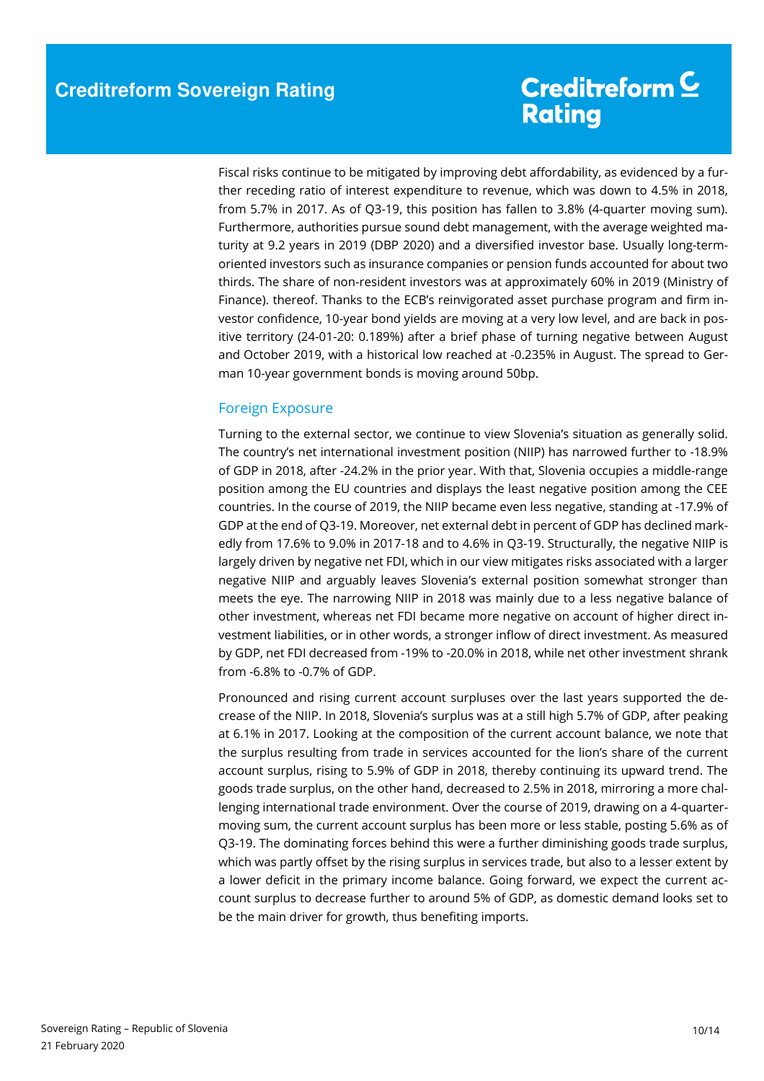Fiscal risks continue to be mitigated by improving debt affordability, as evidenced by a further receding ratio of interest expenditure to revenue, which was down to 4.5% in 2018, from 5.7% in 2017. As of Q3-19, this position has fallen to 3.8% (4-quarter moving sum). Furthermore, authorities pursue sound debt management, with the average weighted maturity at 9.2 years in 2019 (DBP 2020) and a diversified investor base. Usually long-termoriented investors such as insurance companies or pension funds accounted for about two thirds. The share of non-resident investors was at approximately 60% in 2019 (Ministry of Finance). thereof. Thanks to the ECB's reinvigorated asset purchase program and firm investor confidence, 10-year bond yields are moving at a very low level, and are back in positive territory (24-01-20: 0.189%) after a brief phase of turning negative between August and October 2019, with a historical low reached at -0.235% in August. The spread to German 10-year government bonds is moving around 50bp.

### Foreign Exposure

Turning to the external sector, we continue to view Slovenia's situation as generally solid. The country's net international investment position (NIIP) has narrowed further to -18.9% of GDP in 2018, after -24.2% in the prior year. With that, Slovenia occupies a middle-range position among the EU countries and displays the least negative position among the CEE countries. In the course of 2019, the NIIP became even less negative, standing at -17.9% of GDP at the end of Q3-19. Moreover, net external debt in percent of GDP has declined markedly from 17.6% to 9.0% in 2017-18 and to 4.6% in Q3-19. Structurally, the negative NIIP is largely driven by negative net FDI, which in our view mitigates risks associated with a larger negative NIIP and arguably leaves Slovenia's external position somewhat stronger than meets the eye. The narrowing NIIP in 2018 was mainly due to a less negative balance of other investment, whereas net FDI became more negative on account of higher direct investment liabilities, or in other words, a stronger inflow of direct investment. As measured by GDP, net FDI decreased from -19% to -20.0% in 2018, while net other investment shrank from -6.8% to -0.7% of GDP.

Pronounced and rising current account surpluses over the last years supported the decrease of the NIIP. In 2018, Slovenia's surplus was at a still high 5.7% of GDP, after peaking at 6.1% in 2017. Looking at the composition of the current account balance, we note that the surplus resulting from trade in services accounted for the lion's share of the current account surplus, rising to 5.9% of GDP in 2018, thereby continuing its upward trend. The goods trade surplus, on the other hand, decreased to 2.5% in 2018, mirroring a more challenging international trade environment. Over the course of 2019, drawing on a 4-quartermoving sum, the current account surplus has been more or less stable, posting 5.6% as of Q3-19. The dominating forces behind this were a further diminishing goods trade surplus, which was partly offset by the rising surplus in services trade, but also to a lesser extent by a lower deficit in the primary income balance. Going forward, we expect the current account surplus to decrease further to around 5% of GDP, as domestic demand looks set to be the main driver for growth, thus benefiting imports.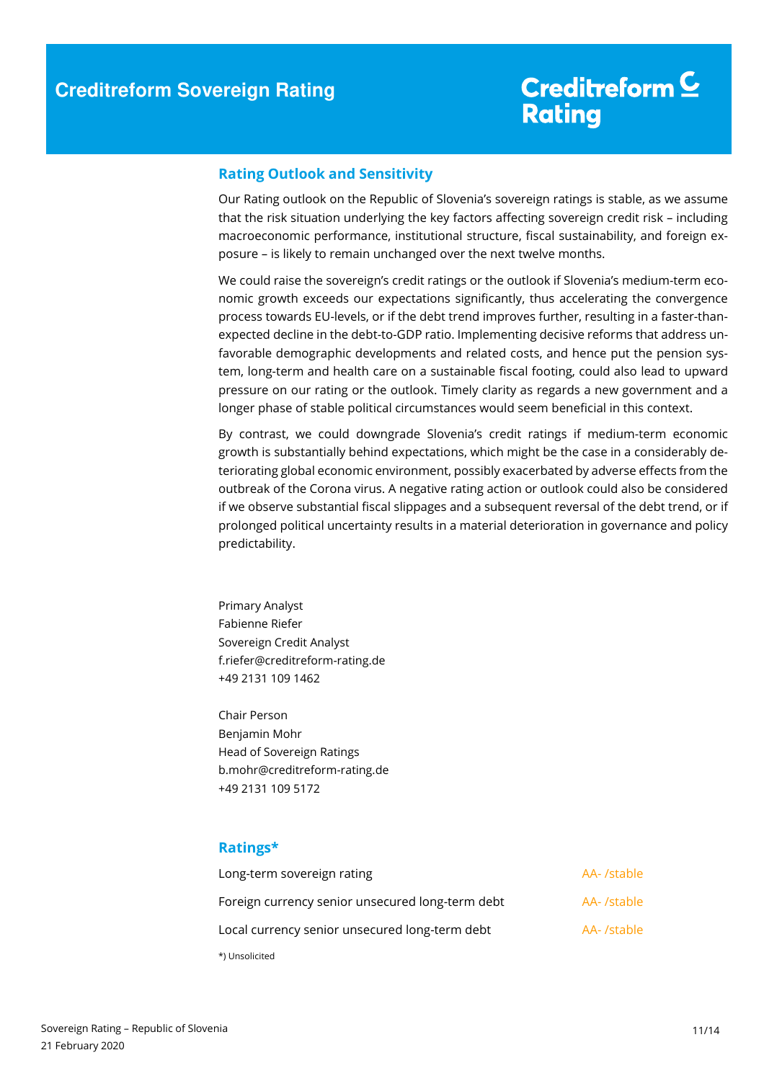#### **Rating Outlook and Sensitivity**

Our Rating outlook on the Republic of Slovenia's sovereign ratings is stable, as we assume that the risk situation underlying the key factors affecting sovereign credit risk – including macroeconomic performance, institutional structure, fiscal sustainability, and foreign exposure – is likely to remain unchanged over the next twelve months.

We could raise the sovereign's credit ratings or the outlook if Slovenia's medium-term economic growth exceeds our expectations significantly, thus accelerating the convergence process towards EU-levels, or if the debt trend improves further, resulting in a faster-thanexpected decline in the debt-to-GDP ratio. Implementing decisive reforms that address unfavorable demographic developments and related costs, and hence put the pension system, long-term and health care on a sustainable fiscal footing, could also lead to upward pressure on our rating or the outlook. Timely clarity as regards a new government and a longer phase of stable political circumstances would seem beneficial in this context.

By contrast, we could downgrade Slovenia's credit ratings if medium-term economic growth is substantially behind expectations, which might be the case in a considerably deteriorating global economic environment, possibly exacerbated by adverse effects from the outbreak of the Corona virus. A negative rating action or outlook could also be considered if we observe substantial fiscal slippages and a subsequent reversal of the debt trend, or if prolonged political uncertainty results in a material deterioration in governance and policy predictability.

Primary Analyst Fabienne Riefer Sovereign Credit Analyst f.riefer@creditreform-rating.de +49 2131 109 1462

Chair Person Benjamin Mohr Head of Sovereign Ratings b.mohr@creditreform-rating.de +49 2131 109 5172

### **Ratings\***

| Long-term sovereign rating                       | AA- /stable |
|--------------------------------------------------|-------------|
| Foreign currency senior unsecured long-term debt | AA- /stable |
| Local currency senior unsecured long-term debt   | AA- /stable |
| *) Unsolicited                                   |             |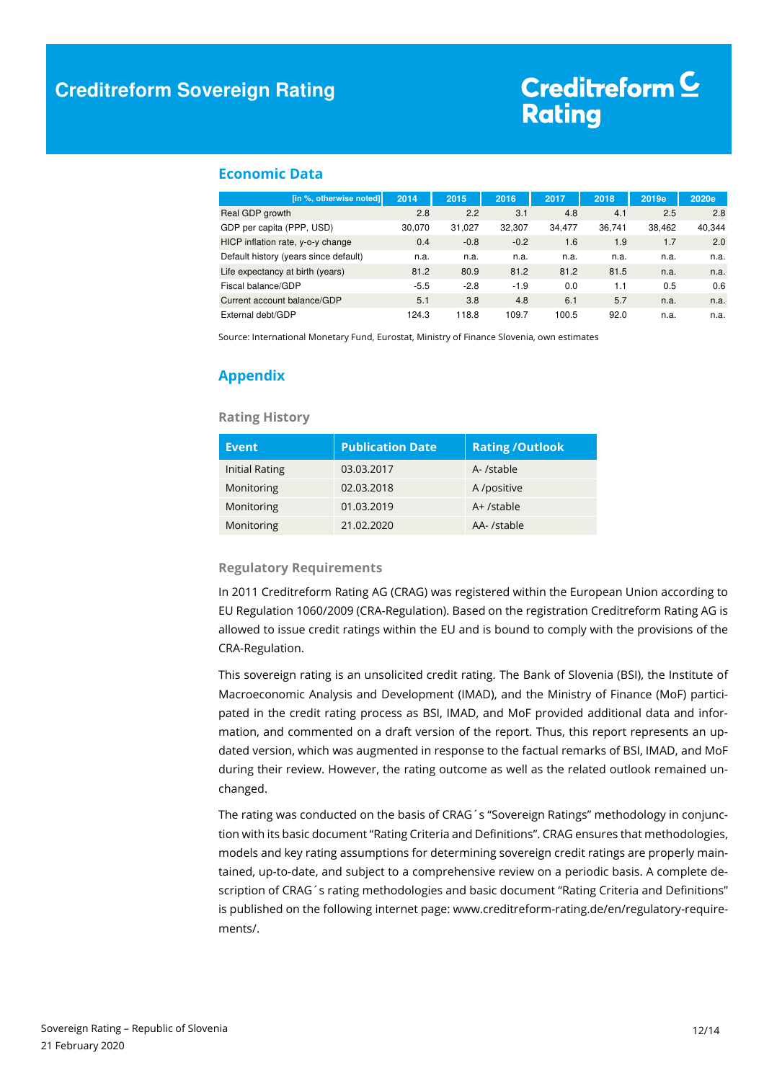#### **Economic Data**

| [in %, otherwise noted]               | 2014   | 2015   | 2016   | 2017   | 2018   | 2019e  | 2020e  |
|---------------------------------------|--------|--------|--------|--------|--------|--------|--------|
| Real GDP growth                       | 2.8    | 2.2    | 3.1    | 4.8    | 4.1    | 2.5    | 2.8    |
| GDP per capita (PPP, USD)             | 30.070 | 31,027 | 32.307 | 34.477 | 36.741 | 38.462 | 40,344 |
| HICP inflation rate, y-o-y change     | 0.4    | $-0.8$ | $-0.2$ | 1.6    | 1.9    | 1.7    | 2.0    |
| Default history (years since default) | n.a.   | n.a.   | n.a.   | n.a.   | n.a.   | n.a.   | n.a.   |
| Life expectancy at birth (years)      | 81.2   | 80.9   | 81.2   | 81.2   | 81.5   | n.a.   | n.a.   |
| Fiscal balance/GDP                    | $-5.5$ | $-2.8$ | $-1.9$ | 0.0    | 1.1    | 0.5    | 0.6    |
| Current account balance/GDP           | 5.1    | 3.8    | 4.8    | 6.1    | 5.7    | n.a.   | n.a.   |
| External debt/GDP                     | 124.3  | 118.8  | 109.7  | 100.5  | 92.0   | n.a.   | n.a.   |

Source: International Monetary Fund, Eurostat, Ministry of Finance Slovenia, own estimates

### **Appendix**

#### **Rating History**

| <b>Event</b>   | <b>Publication Date</b> | <b>Rating /Outlook</b> |
|----------------|-------------------------|------------------------|
| Initial Rating | 03.03.2017              | A-/stable              |
| Monitoring     | 02.03.2018              | A /positive            |
| Monitoring     | 01.03.2019              | $A+$ /stable           |
| Monitoring     | 21.02.2020              | AA-/stable             |

#### **Regulatory Requirements**

In 2011 Creditreform Rating AG (CRAG) was registered within the European Union according to EU Regulation 1060/2009 (CRA-Regulation). Based on the registration Creditreform Rating AG is allowed to issue credit ratings within the EU and is bound to comply with the provisions of the CRA-Regulation.

This sovereign rating is an unsolicited credit rating. The Bank of Slovenia (BSI), the Institute of Macroeconomic Analysis and Development (IMAD), and the Ministry of Finance (MoF) participated in the credit rating process as BSI, IMAD, and MoF provided additional data and information, and commented on a draft version of the report. Thus, this report represents an updated version, which was augmented in response to the factual remarks of BSI, IMAD, and MoF during their review. However, the rating outcome as well as the related outlook remained unchanged.

The rating was conducted on the basis of CRAG's "Sovereign Ratings" methodology in conjunction with its basic document "Rating Criteria and Definitions". CRAG ensures that methodologies, models and key rating assumptions for determining sovereign credit ratings are properly maintained, up-to-date, and subject to a comprehensive review on a periodic basis. A complete description of CRAG's rating methodologies and basic document "Rating Criteria and Definitions" is published on the following internet page: www.creditreform-rating.de/en/regulatory-requirements/.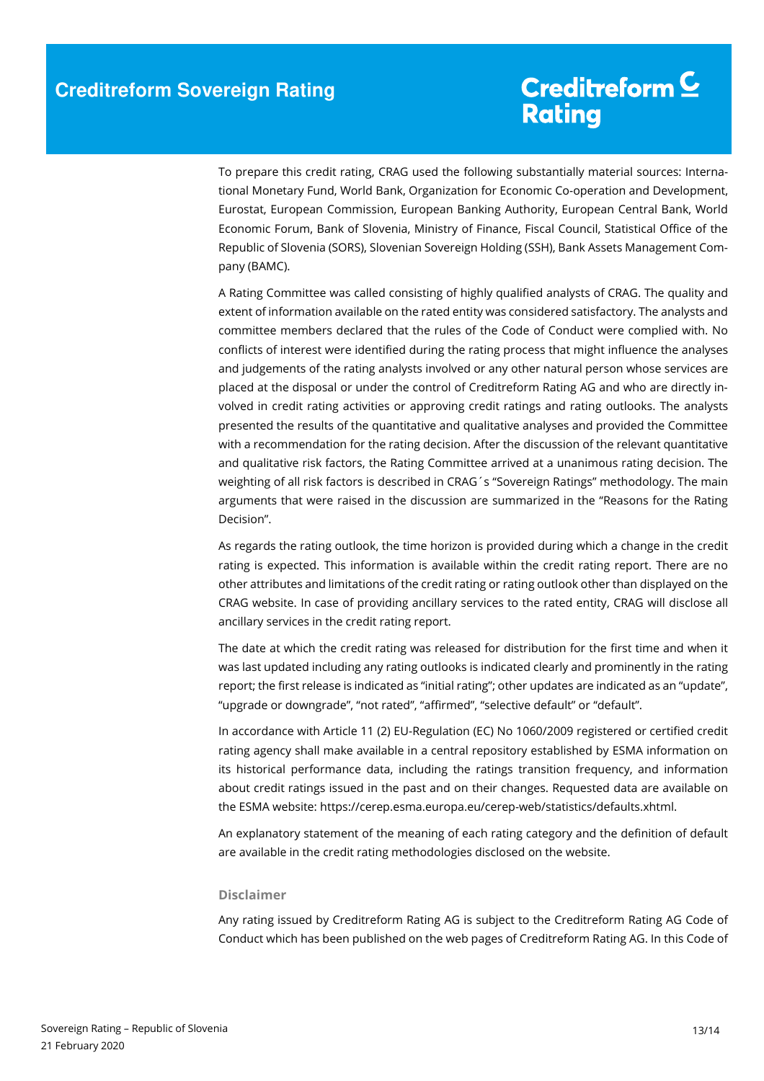To prepare this credit rating, CRAG used the following substantially material sources: International Monetary Fund, World Bank, Organization for Economic Co-operation and Development, Eurostat, European Commission, European Banking Authority, European Central Bank, World Economic Forum, Bank of Slovenia, Ministry of Finance, Fiscal Council, Statistical Office of the Republic of Slovenia (SORS), Slovenian Sovereign Holding (SSH), Bank Assets Management Company (BAMC).

A Rating Committee was called consisting of highly qualified analysts of CRAG. The quality and extent of information available on the rated entity was considered satisfactory. The analysts and committee members declared that the rules of the Code of Conduct were complied with. No conflicts of interest were identified during the rating process that might influence the analyses and judgements of the rating analysts involved or any other natural person whose services are placed at the disposal or under the control of Creditreform Rating AG and who are directly involved in credit rating activities or approving credit ratings and rating outlooks. The analysts presented the results of the quantitative and qualitative analyses and provided the Committee with a recommendation for the rating decision. After the discussion of the relevant quantitative and qualitative risk factors, the Rating Committee arrived at a unanimous rating decision. The weighting of all risk factors is described in CRAG´s "Sovereign Ratings" methodology. The main arguments that were raised in the discussion are summarized in the "Reasons for the Rating Decision".

As regards the rating outlook, the time horizon is provided during which a change in the credit rating is expected. This information is available within the credit rating report. There are no other attributes and limitations of the credit rating or rating outlook other than displayed on the CRAG website. In case of providing ancillary services to the rated entity, CRAG will disclose all ancillary services in the credit rating report.

The date at which the credit rating was released for distribution for the first time and when it was last updated including any rating outlooks is indicated clearly and prominently in the rating report; the first release is indicated as "initial rating"; other updates are indicated as an "update", "upgrade or downgrade", "not rated", "affirmed", "selective default" or "default".

In accordance with Article 11 (2) EU-Regulation (EC) No 1060/2009 registered or certified credit rating agency shall make available in a central repository established by ESMA information on its historical performance data, including the ratings transition frequency, and information about credit ratings issued in the past and on their changes. Requested data are available on the ESMA website: https://cerep.esma.europa.eu/cerep-web/statistics/defaults.xhtml.

An explanatory statement of the meaning of each rating category and the definition of default are available in the credit rating methodologies disclosed on the website.

#### **Disclaimer**

Any rating issued by Creditreform Rating AG is subject to the Creditreform Rating AG Code of Conduct which has been published on the web pages of Creditreform Rating AG. In this Code of